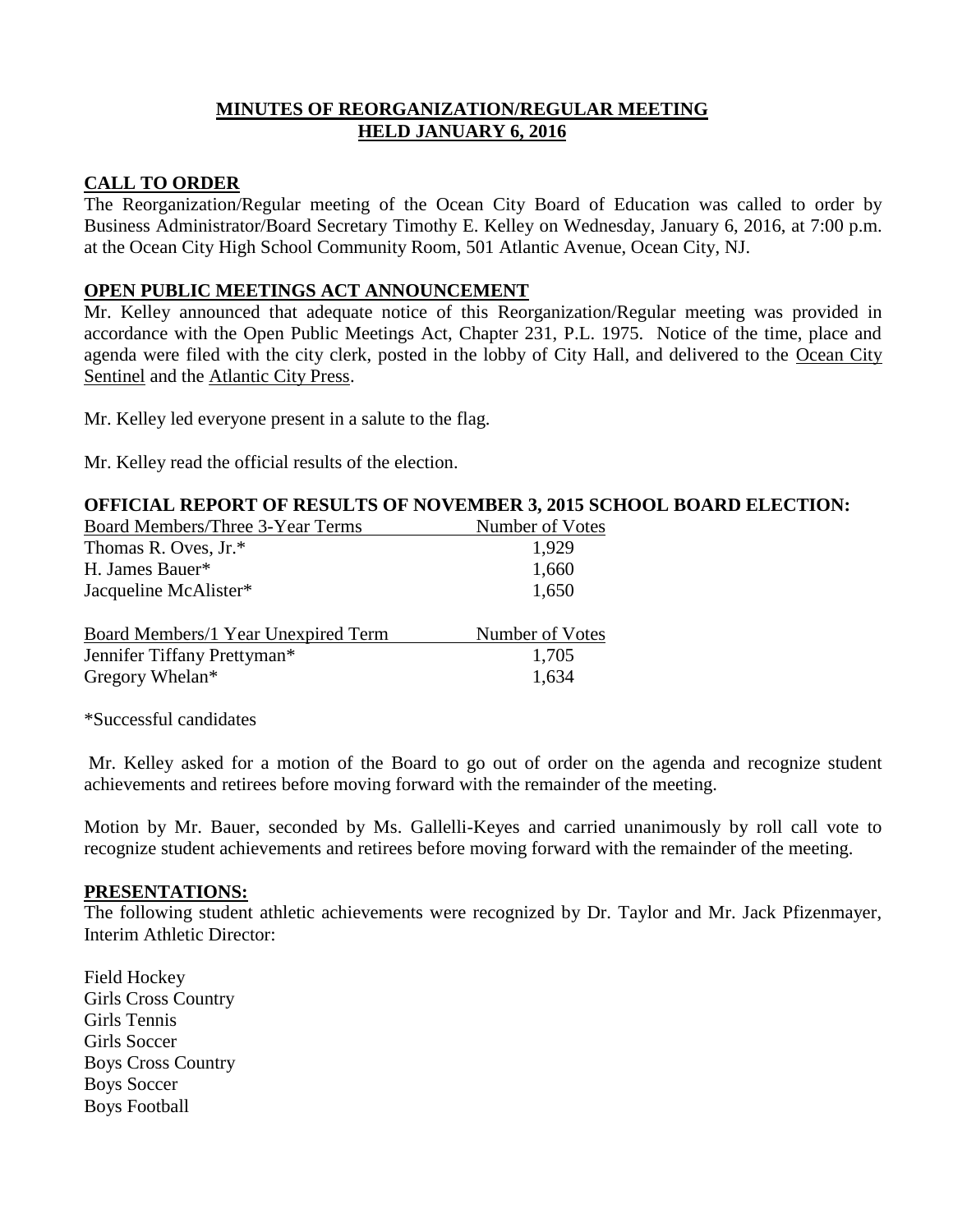# **MINUTES OF REORGANIZATION/REGULAR MEETING HELD JANUARY 6, 2016**

## **CALL TO ORDER**

The Reorganization/Regular meeting of the Ocean City Board of Education was called to order by Business Administrator/Board Secretary Timothy E. Kelley on Wednesday, January 6, 2016, at 7:00 p.m. at the Ocean City High School Community Room, 501 Atlantic Avenue, Ocean City, NJ.

## **OPEN PUBLIC MEETINGS ACT ANNOUNCEMENT**

Mr. Kelley announced that adequate notice of this Reorganization/Regular meeting was provided in accordance with the Open Public Meetings Act, Chapter 231, P.L. 1975. Notice of the time, place and agenda were filed with the city clerk, posted in the lobby of City Hall, and delivered to the Ocean City Sentinel and the Atlantic City Press.

Mr. Kelley led everyone present in a salute to the flag.

Mr. Kelley read the official results of the election.

## **OFFICIAL REPORT OF RESULTS OF NOVEMBER 3, 2015 SCHOOL BOARD ELECTION:**

| Board Members/Three 3-Year Terms    | Number of Votes |
|-------------------------------------|-----------------|
| Thomas R. Oves, Jr.*                | 1,929           |
| H. James Bauer*                     | 1,660           |
| Jacqueline McAlister*               | 1,650           |
| Board Members/1 Year Unexpired Term | Number of Votes |
| Jennifer Tiffany Prettyman*         | 1,705           |
| Gregory Whelan*                     | 1,634           |
|                                     |                 |

\*Successful candidates

Mr. Kelley asked for a motion of the Board to go out of order on the agenda and recognize student achievements and retirees before moving forward with the remainder of the meeting.

Motion by Mr. Bauer, seconded by Ms. Gallelli-Keyes and carried unanimously by roll call vote to recognize student achievements and retirees before moving forward with the remainder of the meeting.

### **PRESENTATIONS:**

The following student athletic achievements were recognized by Dr. Taylor and Mr. Jack Pfizenmayer, Interim Athletic Director:

Field Hockey Girls Cross Country Girls Tennis Girls Soccer Boys Cross Country Boys Soccer Boys Football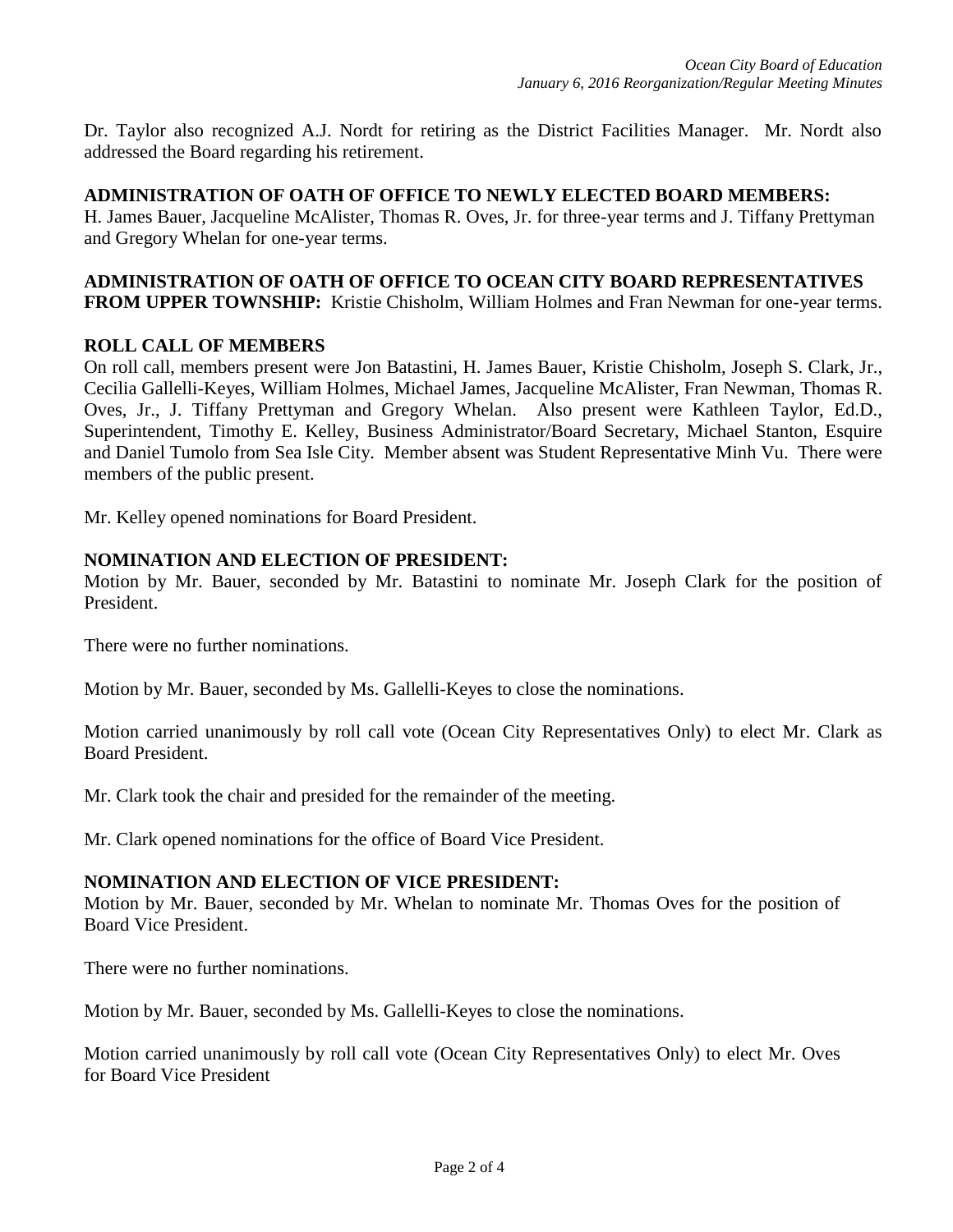Dr. Taylor also recognized A.J. Nordt for retiring as the District Facilities Manager. Mr. Nordt also addressed the Board regarding his retirement.

### **ADMINISTRATION OF OATH OF OFFICE TO NEWLY ELECTED BOARD MEMBERS:**

H. James Bauer, Jacqueline McAlister, Thomas R. Oves, Jr. for three-year terms and J. Tiffany Prettyman and Gregory Whelan for one-year terms.

#### **ADMINISTRATION OF OATH OF OFFICE TO OCEAN CITY BOARD REPRESENTATIVES FROM UPPER TOWNSHIP:** Kristie Chisholm, William Holmes and Fran Newman for one-year terms.

### **ROLL CALL OF MEMBERS**

On roll call, members present were Jon Batastini, H. James Bauer, Kristie Chisholm, Joseph S. Clark, Jr., Cecilia Gallelli-Keyes, William Holmes, Michael James, Jacqueline McAlister, Fran Newman, Thomas R. Oves, Jr., J. Tiffany Prettyman and Gregory Whelan. Also present were Kathleen Taylor, Ed.D., Superintendent, Timothy E. Kelley, Business Administrator/Board Secretary, Michael Stanton, Esquire and Daniel Tumolo from Sea Isle City. Member absent was Student Representative Minh Vu. There were members of the public present.

Mr. Kelley opened nominations for Board President.

### **NOMINATION AND ELECTION OF PRESIDENT:**

Motion by Mr. Bauer, seconded by Mr. Batastini to nominate Mr. Joseph Clark for the position of President.

There were no further nominations.

Motion by Mr. Bauer, seconded by Ms. Gallelli-Keyes to close the nominations.

Motion carried unanimously by roll call vote (Ocean City Representatives Only) to elect Mr. Clark as Board President.

Mr. Clark took the chair and presided for the remainder of the meeting.

Mr. Clark opened nominations for the office of Board Vice President.

### **NOMINATION AND ELECTION OF VICE PRESIDENT:**

Motion by Mr. Bauer, seconded by Mr. Whelan to nominate Mr. Thomas Oves for the position of Board Vice President.

There were no further nominations.

Motion by Mr. Bauer, seconded by Ms. Gallelli-Keyes to close the nominations.

Motion carried unanimously by roll call vote (Ocean City Representatives Only) to elect Mr. Oves for Board Vice President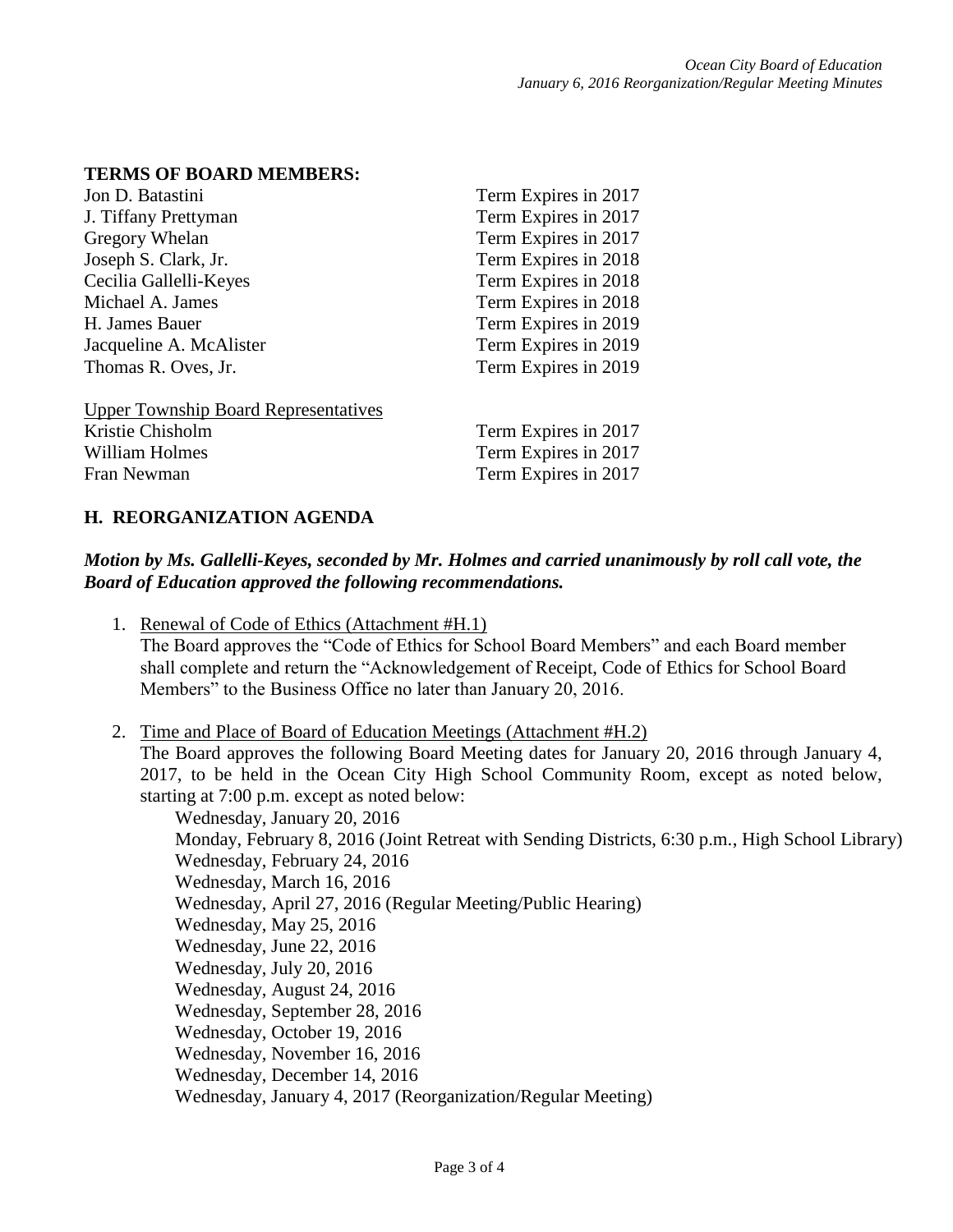### **TERMS OF BOARD MEMBERS:**

| Jon D. Batastini                            | Term Expires in 2017 |
|---------------------------------------------|----------------------|
| J. Tiffany Prettyman                        | Term Expires in 2017 |
| Gregory Whelan                              | Term Expires in 2017 |
| Joseph S. Clark, Jr.                        | Term Expires in 2018 |
| Cecilia Gallelli-Keyes                      | Term Expires in 2018 |
| Michael A. James                            | Term Expires in 2018 |
| H. James Bauer                              | Term Expires in 2019 |
| Jacqueline A. McAlister                     | Term Expires in 2019 |
| Thomas R. Oves, Jr.                         | Term Expires in 2019 |
| <b>Upper Township Board Representatives</b> |                      |
| Kristie Chisholm                            | Term Expires in 2017 |

erm Expires in 2017 William Holmes Term Expires in 2017 Fran Newman Term Expires in 2017

### **H. REORGANIZATION AGENDA**

## *Motion by Ms. Gallelli-Keyes, seconded by Mr. Holmes and carried unanimously by roll call vote, the Board of Education approved the following recommendations.*

- 1. Renewal of Code of Ethics (Attachment #H.1) The Board approves the "Code of Ethics for School Board Members" and each Board member shall complete and return the "Acknowledgement of Receipt, Code of Ethics for School Board Members" to the Business Office no later than January 20, 2016.
- 2. Time and Place of Board of Education Meetings (Attachment #H.2) The Board approves the following Board Meeting dates for January 20, 2016 through January 4, 2017, to be held in the Ocean City High School Community Room, except as noted below, starting at 7:00 p.m. except as noted below:

Wednesday, January 20, 2016 Monday, February 8, 2016 (Joint Retreat with Sending Districts, 6:30 p.m., High School Library) Wednesday, February 24, 2016 Wednesday, March 16, 2016 Wednesday, April 27, 2016 (Regular Meeting/Public Hearing) Wednesday, May 25, 2016 Wednesday, June 22, 2016 Wednesday, July 20, 2016 Wednesday, August 24, 2016 Wednesday, September 28, 2016 Wednesday, October 19, 2016 Wednesday, November 16, 2016 Wednesday, December 14, 2016 Wednesday, January 4, 2017 (Reorganization/Regular Meeting)